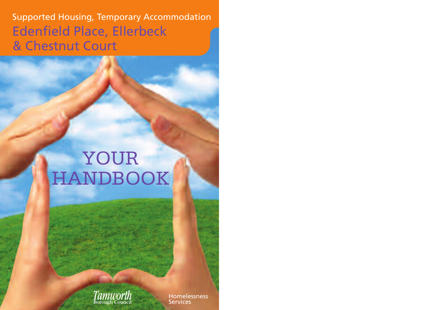Supported Housing, Temporary Accommodation Edenfield Place, Ellerbeck & Chestnut Court

# YOUR HANDBOOK



Homelessness **Services**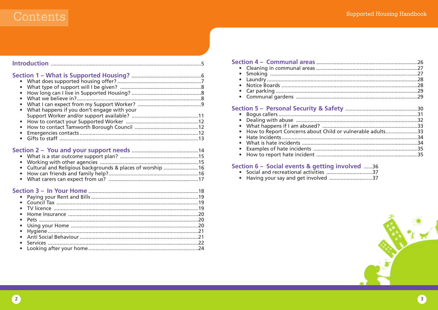### Contents

| $\bullet$                                                                           |  |
|-------------------------------------------------------------------------------------|--|
| $\bullet$<br>$\bullet$                                                              |  |
| What happens if you don't engage with your<br>$\bullet$<br>$\bullet$<br>$\bullet$   |  |
| Cultural and Religious backgrounds & places of worship 16<br>$\bullet$<br>$\bullet$ |  |
|                                                                                     |  |
| $\bullet$                                                                           |  |

### 

| • How to Report Concerns about Child or vulnerable adults33 |  |
|-------------------------------------------------------------|--|
|                                                             |  |
|                                                             |  |
|                                                             |  |
|                                                             |  |
|                                                             |  |

### Section 6 - Social events & getting involved ......36



 $\bullet$ 

 $\bullet$ 

 $\bullet$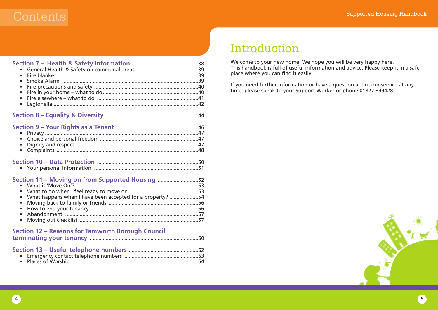### $\Gamma$  . Supported Housing Handbook  $\Gamma$

| $\bullet$<br>$\bullet$<br>$\bullet$<br>$\bullet$<br>$\bullet$<br>$\bullet$                                                                                                                               |  |
|----------------------------------------------------------------------------------------------------------------------------------------------------------------------------------------------------------|--|
|                                                                                                                                                                                                          |  |
| $\bullet$<br>$\bullet$                                                                                                                                                                                   |  |
|                                                                                                                                                                                                          |  |
| Section 11 - Moving on from Supported Housing 52<br>$\bullet$<br>$\bullet$<br>What happens when I have been accepted for a property? 54<br>$\bullet$<br>$\bullet$<br>$\bullet$<br>$\bullet$<br>$\bullet$ |  |
| <b>Section 12 - Reasons for Tamworth Borough Council</b>                                                                                                                                                 |  |
|                                                                                                                                                                                                          |  |

### Introduction

Welcome to your new home. We hope you will be very happy here. This handbook is full of useful information and advice. Please keep it in a safe place where you can find it easily.

If you need further information or have a question about our service at any time, please speak to your Support Worker or phone 01827 899428.

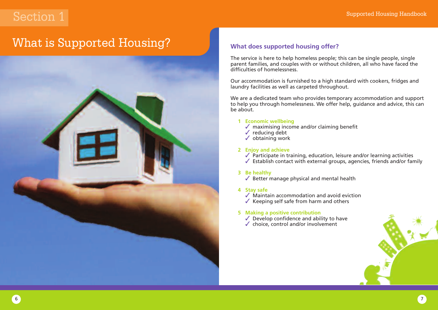### What is Supported Housing?



### **What does supported housing offer?**

The service is here to help homeless people; this can be single people, single parent families, and couples with or without children, all who have faced the difficulties of homelessness.

Our accommodation is furnished to a high standard with cookers, fridges and laundry facilities as well as carpeted throughout.

We are a dedicated team who provides temporary accommodation and support to help you through homelessness. We offer help, guidance and advice, this can be about.

### **1 Economic wellbeing**

- $\sqrt{ }$  maximising income and/or claiming benefit
- $\checkmark$  reducing debt
- $\checkmark$  obtaining work

### **2 Enjoy and achieve**

 $\sqrt{\ }$  Participate in training, education, leisure and/or learning activities  $\sqrt{\ }$  Establish contact with external groups, agencies, friends and/or family

### **3 Be healthy**

 $\sqrt{\ }$  Better manage physical and mental health

### **4 Stay safe**

 $\sqrt{\ }$  Maintain accommodation and avoid eviction

 $\checkmark$  Keeping self safe from harm and others

### **5 Making a positive contribution**

- $\sqrt{\ }$  Develop confidence and ability to have
- $\checkmark$  choice, control and/or involvement

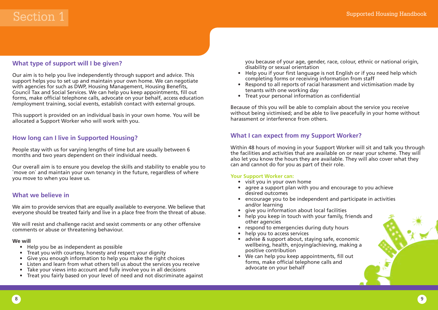### **What type of support will I be given?**

Our aim is to help you live independently through support and advice. This support helps you to set up and maintain your own home. We can negotiate with agencies for such as DWP, Housing Management, Housing Benefits, Council Tax and Social Services. We can help you keep appointments, fill out forms, make official telephone calls, advocate on your behalf, access education /employment training, social events, establish contact with external groups.

This support is provided on an individual basis in your own home. You will be allocated a Support Worker who will work with you.

### **How long can I live in Supported Housing?**

People stay with us for varying lengths of time but are usually between 6 months and two years dependent on their individual needs.

Our overall aim is to ensure you develop the skills and stability to enable you to `move on` and maintain your own tenancy in the future, regardless of where you move to when you leave us.

### **What we believe in**

We aim to provide services that are equally available to everyone. We believe that everyone should be treated fairly and live in a place free from the threat of abuse.

We will resist and challenge racist and sexist comments or any other offensive comments or abuse or threatening behaviour.

### **We will**

- Help you be as independent as possible
- Treat you with courtesy, honesty and respect your dignity
- Give you enough information to help you make the right choices
- Listen and learn from what others tell us about the services you receive
- Take your views into account and fully involve you in all decisions
- Treat you fairly based on your level of need and not discriminate against

you because of your age, gender, race, colour, ethnic or national origin, disability or sexual orientation

- Help you if your first language is not English or if you need help which completing forms or receiving information from staff
- Respond to all reports of racial harassment and victimisation made by tenants with one working day
- Treat your personal information as confidential

Because of this you will be able to complain about the service you receive without being victimised; and be able to live peacefully in your home without harassment or interference from others.

### **What I can expect from my Support Worker?**

Within 48 hours of moving in your Support Worker will sit and talk you through the facilities and activities that are available on or near your scheme. They will also let you know the hours they are available. They will also cover what they can and cannot do for you as part of their role.

### **Your Support Worker can:**

- visit you in your own home
- agree a support plan with you and encourage to you achieve desired outcomes
- encourage you to be independent and participate in activities and/or learning
- give you information about local facilities
- help you keep in touch with your family, friends and other agencies
- respond to emergencies during duty hours
- help you to access services
- advise & support about, staying safe, economic wellbeing, health, enjoying/achieving, making a positive contribution
- We can help you keep appointments, fill out forms, make official telephone calls and advocate on your behalf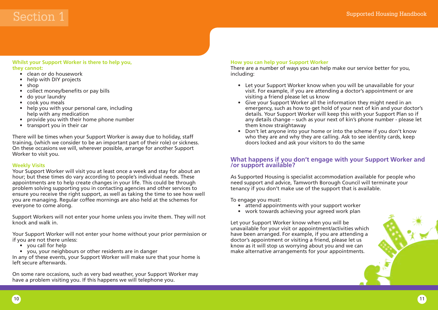## $\operatorname{Section~1}$  supported Housing Handbook  $\operatorname{Section}$

### **Whilst your Support Worker is there to help you, they cannot:**

- clean or do housework
- help with DIY projects
- shop
- collect money/benefits or pay bills
- do your laundry
- cook you meals
- help you with your personal care, including help with any medication
- provide you with their home phone number
- transport you in their car

There will be times when your Support Worker is away due to holiday, staff training, (which we consider to be an important part of their role) or sickness. On these occasions we will, wherever possible, arrange for another Support Worker to visit you.

### **Weekly Visits**

Your Support Worker will visit you at least once a week and stay for about an hour; but these times do vary according to people's individual needs. These appointments are to help create changes in your life. This could be through problem solving supporting you in contacting agencies and other services to ensure you receive the right support, as well as taking the time to see how well you are managing. Regular coffee mornings are also held at the schemes for everyone to come along.

Support Workers will not enter your home unless you invite them. They will not knock and walk in.

Your Support Worker will not enter your home without your prior permission or if you are not there unless:

- you call for help
- you, your neighbours or other residents are in danger

In any of these events, your Support Worker will make sure that your home is left secure afterwards.

On some rare occasions, such as very bad weather, your Support Worker may have a problem visiting you. If this happens we will telephone you.

### **How you can help your Support Worker**

There are a number of ways you can help make our service better for you, including:

- Let your Support Worker know when you will be unavailable for your visit. For example, if you are attending a doctor's appointment or are visiting a friend please let us know
- Give your Support Worker all the information they might need in an emergency, such as how to get hold of your next of kin and your doctor's details. Your Support Worker will keep this with your Support Plan so if any details change – such as your next of kin's phone number - please let them know straightaway
- Don't let anyone into your home or into the scheme if you don't know who they are and why they are calling. Ask to see identity cards, keep doors locked and ask your visitors to do the same

### **What happens if you don't engage with your Support Worker and /or support available?**

As Supported Housing is specialist accommodation available for people who need support and advice, Tamworth Borough Council will terminate your tenancy if you don't make use of the support that is available.

To engage you must:

- attend appointments with your support worker
- work towards achieving your agreed work plan

Let your Support Worker know when you will be unavailable for your visit or appointment/activities which have been arranged. For example, if you are attending a doctor's appointment or visiting a friend, please let us know as it will stop us worrying about you and we can make alternative arrangements for your appointments.

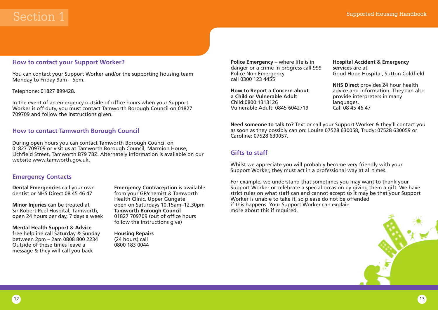### **How to contact your Support Worker?**

You can contact your Support Worker and/or the supporting housing team Monday to Friday 9am – 5pm.

#### Telephone: 01827 899428.

In the event of an emergency outside of office hours when your Support Worker is off duty, you must contact Tamworth Borough Council on 01827 709709 and follow the instructions given.

### **How to contact Tamworth Borough Council**

During open hours you can contact Tamworth Borough Council on 01827 709709 or visit us at Tamworth Borough Council, Marmion House, Lichfield Street, Tamworth B79 7BZ. Alternately information is available on our website www.tamworth.gov.uk.

### **Emergency Contacts**

**Dental Emergencies** call your own dentist or NHS Direct 08 45 46 47

**Minor Injuries** can be treated at Sir Robert Peel Hospital, Tamworth, open 24 hours per day, 7 days a week

**Mental Health Support & Advice** free helpline call Saturday & Sunday between 2pm – 2am 0808 800 2234 Outside of these times leave a message & they will call you back

**Emergency Contraception** is available from your GP/chemist & Tamworth Health Clinic, Upper Gungate open on Saturdays 10.15am–12.30pm **Tamworth Borough Council** 01827 709709 (out of office hours follow the instructions give)

**Housing Repairs** (24 hours) call 0800 183 0044

**Police Emergency** – where life is in danger or a crime in progress call 999 Police Non Emergency call 0300 123 4455

**How to Report a Concern about a Child or Vulnerable Adult** Child:0800 1313126 Vulnerable Adult: 0845 6042719

**Hospital Accident & Emergency services** are at Good Hope Hospital, Sutton Coldfield

**NHS Direct** provides 24 hour health advice and information. They can also provide interpreters in many languages. Call 08 45 46 47

**Need someone to talk to?** Text or call your Support Worker & they'll contact you as soon as they possibly can on: Louise 07528 630058, Trudy: 07528 630059 or Caroline: 07528 630057.

### **Gifts to staff**

Whilst we appreciate you will probably become very friendly with your Support Worker, they must act in a professional way at all times.

For example, we understand that sometimes you may want to thank your Support Worker or celebrate a special occasion by giving them a gift. We have strict rules on what staff can and cannot accept so it may be that your Support Worker is unable to take it, so please do not be offended if this happens. Your Support Worker can explain more about this if required.

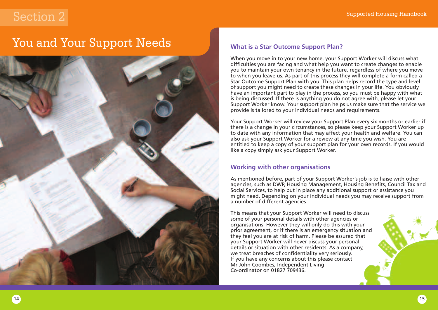### You and Your Support Needs



### **What is a Star Outcome Support Plan?**

When you move in to your new home, your Support Worker will discuss what difficulties you are facing and what help you want to create changes to enable you to maintain your own tenancy in the future, regardless of where you move to when you leave us. As part of this process they will complete a form called a Star Outcome Support Plan with you. This plan helps record the type and level of support you might need to create these changes in your life. You obviously have an important part to play in the process, so you must be happy with what is being discussed. If there is anything you do not agree with, please let your Support Worker know. Your support plan helps us make sure that the service we provide is tailored to your individual needs and requirements.

Your Support Worker will review your Support Plan every six months or earlier if there is a change in your circumstances, so please keep your Support Worker up to date with any information that may affect your health and welfare. You can also ask your Support Worker for a review at any time you wish. You are entitled to keep a copy of your support plan for your own records. If you would like a copy simply ask your Support Worker.

### **Working with other organisations**

As mentioned before, part of your Support Worker's job is to liaise with other agencies, such as DWP, Housing Management, Housing Benefits, Council Tax and Social Services, to help put in place any additional support or assistance you might need. Depending on your individual needs you may receive support from a number of different agencies.

This means that your Support Worker will need to discuss some of your personal details with other agencies or organisations. However they will only do this with your prior agreement, or if there is an emergency situation and they feel you are at risk of harm. Please be assured that your Support Worker will never discuss your personal details or situation with other residents. As a company, we treat breaches of confidentiality very seriously. If you have any concerns about this please contact Mr John Coombes, Independent Living Co-ordinator on 01827 709436.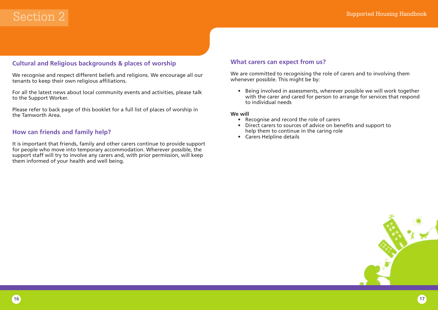### **Cultural and Religious backgrounds & places of worship**

We recognise and respect different beliefs and religions. We encourage all our tenants to keep their own religious affiliations.

For all the latest news about local community events and activities, please talk to the Support Worker.

Please refer to back page of this booklet for a full list of places of worship in the Tamworth Area.

### **How can friends and family help?**

It is important that friends, family and other carers continue to provide support for people who move into temporary accommodation. Wherever possible, the support staff will try to involve any carers and, with prior permission, will keep them informed of your health and well being.

### **What carers can expect from us?**

We are committed to recognising the role of carers and to involving them whenever possible. This might be by:

• Being involved in assessments, wherever possible we will work together with the carer and cared for person to arrange for services that respond to individual needs

#### **We will**

- Recognise and record the role of carers
- Direct carers to sources of advice on benefits and support to help them to continue in the caring role
- Carers Helpline details

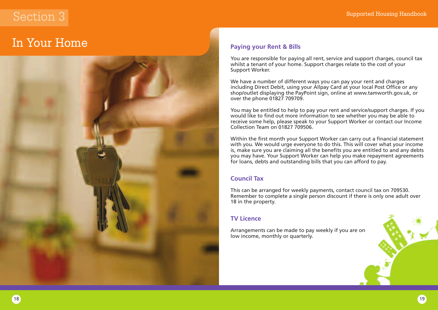### In Your Home



### **Paying your Rent & Bills**

You are responsible for paying all rent, service and support charges, council tax whilst a tenant of your home. Support charges relate to the cost of your Support Worker.

We have a number of different ways you can pay your rent and charges including Direct Debit, using your Allpay Card at your local Post Office or any shop/outlet displaying the PayPoint sign, online at www.tamworth.gov.uk, or over the phone 01827 709709.

You may be entitled to help to pay your rent and service/support charges. If you would like to find out more information to see whether you may be able to receive some help, please speak to your Support Worker or contact our Income Collection Team on 01827 709506.

Within the first month your Support Worker can carry out a financial statement with you. We would urge everyone to do this. This will cover what your income is, make sure you are claiming all the benefits you are entitled to and any debts you may have. Your Support Worker can help you make repayment agreements for loans, debts and outstanding bills that you can afford to pay.

### **Council Tax**

This can be arranged for weekly payments, contact council tax on 709530. Remember to complete a single person discount if there is only one adult over 18 in the property.

### **TV Licence**

Arrangements can be made to pay weekly if you are on low income, monthly or quarterly.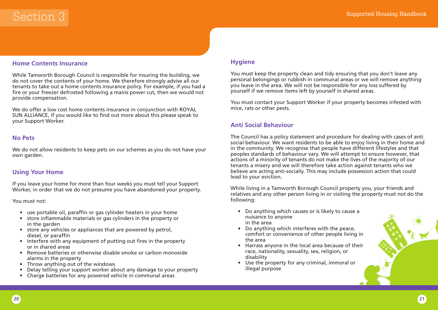### **Home Contents Insurance**

While Tamworth Borough Council is responsible for insuring the building, we do not cover the contents of your home. We therefore strongly advise all our tenants to take out a home contents insurance policy. For example, if you had a fire or your freezer defrosted following a mains power cut, then we would not provide compensation.

We do offer a low cost home contents insurance in conjunction with ROYAL SUN ALLIANCE, if you would like to find out more about this please speak to your Support Worker.

### **No Pets**

We do not allow residents to keep pets on our schemes as you do not have your own garden.

### **Using Your Home**

If you leave your home for more than four weeks you must tell your Support Worker, in order that we do not presume you have abandoned your property.

You must not:

- use portable oil, paraffin or gas cylinder heaters in your home
- store inflammable materials or gas cylinders in the property or in the garden
- store any vehicles or appliances that are powered by petrol, diesel, or paraffin
- Interfere with any equipment of putting out fires in the property or in shared areas
- Remove batteries or otherwise disable smoke or carbon monoxide alarms in the property
- Throw anything out of the windows
- Delay telling your support worker about any damage to your property
- Charge batteries for any powered vehicle in communal areas

### **Hygiene**

You must keep the property clean and tidy ensuring that you don't leave any personal belongings or rubbish in communal areas or we will remove anything you leave in the area. We will not be responsible for any loss suffered by yourself if we remove items left by yourself in shared areas.

You must contact your Support Worker if your property becomes infested with mice, rats or other pests.

### **Anti Social Behaviour**

The Council has a policy statement and procedure for dealing with cases of anti social behaviour. We want residents to be able to enjoy living in their home and in the community. We recognise that people have different lifestyles and that peoples standards of behaviour vary. We will attempt to ensure however, that actions of a minority of tenants do not make the lives of the majority of our tenants a misery and we will therefore take action against tenants who we believe are acting anti-socially. This may include possession action that could lead to your eviction.

While living in a Tamworth Borough Council property you, your friends and relatives and any other person living in or visiting the property must not do the following:

- Do anything which causes or is likely to cause a nuisance to anyone in the area
- Do anything which interferes with the peace, comfort or convenience of other people living in the area
- Harrass anyone in the local area because of their race, nationality, sexuality, sex, religion, or disability
- Use the property for any criminal, immoral or illegal purpose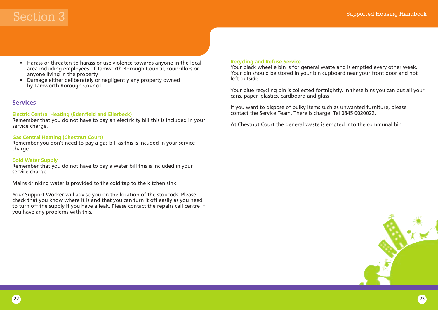### Supported Housing Handbook

### Section 3

- Harass or threaten to harass or use violence towards anyone in the local area including employees of Tamworth Borough Council, councillors or anyone living in the property
- Damage either deliberately or negligently any property owned by Tamworth Borough Council

### **Services**

### **Electric Central Heating (Edenfield and Ellerbeck)**

Remember that you do not have to pay an electricity bill this is included in your service charge.

### **Gas Central Heating (Chestnut Court)**

Remember you don't need to pay a gas bill as this is incuded in your service charge.

### **Cold Water Supply**

Remember that you do not have to pay a water bill this is included in your service charge.

Mains drinking water is provided to the cold tap to the kitchen sink.

Your Support Worker will advise you on the location of the stopcock. Please check that you know where it is and that you can turn it off easily as you need to turn off the supply if you have a leak. Please contact the repairs call centre if you have any problems with this.

### **Recycling and Refuse Service**

Your black wheelie bin is for general waste and is emptied every other week. Your bin should be stored in your bin cupboard near your front door and not left outside.

Your blue recycling bin is collected fortnightly. In these bins you can put all your cans, paper, plastics, cardboard and glass.

If you want to dispose of bulky items such as unwanted furniture, please contact the Service Team. There is charge. Tel 0845 0020022.

At Chestnut Court the general waste is empted into the communal bin.

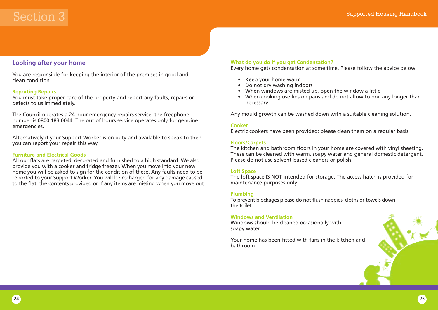### **Looking after your home**

You are responsible for keeping the interior of the premises in good and clean condition.

### **Reporting Repairs**

You must take proper care of the property and report any faults, repairs or defects to us immediately.

The Council operates a 24 hour emergency repairs service, the freephone number is 0800 183 0044. The out of hours service operates only for genuine emergencies.

Alternatively if your Support Worker is on duty and available to speak to then you can report your repair this way.

### **Furniture and Electrical Goods**

All our flats are carpeted, decorated and furnished to a high standard. We also provide you with a cooker and fridge freezer. When you move into your new home you will be asked to sign for the condition of these. Any faults need to be reported to your Support Worker. You will be recharged for any damage caused to the flat, the contents provided or if any items are missing when you move out.

#### **What do you do if you get Condensation?**

Every home gets condensation at some time. Please follow the advice below:

- Keep your home warm
- Do not dry washing indoors
- When windows are misted up, open the window a little
- When cooking use lids on pans and do not allow to boil any longer than necessary

Any mould growth can be washed down with a suitable cleaning solution.

#### **Cooker**

Electric cookers have been provided; please clean them on a regular basis.

#### **Floors/Carpets**

The kitchen and bathroom floors in your home are covered with vinyl sheeting. These can be cleaned with warm, soapy water and general domestic detergent. Please do not use solvent-based cleaners or polish.

#### **Loft Space**

The loft space IS NOT intended for storage. The access hatch is provided for maintenance purposes only.

#### **Plumbing**

To prevent blockages please do not flush nappies, cloths or towels down the toilet.

#### **Windows and Ventilation**

Windows should be cleaned occasionally with soapy water.

Your home has been fitted with fans in the kitchen and bathroom.

24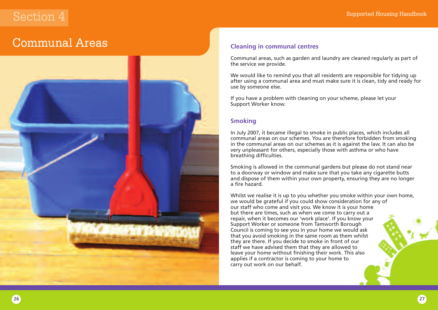### Communal Areas



### **Cleaning in communal centres**

Communal areas, such as garden and laundry are cleaned regularly as part of the service we provide.

We would like to remind you that all residents are responsible for tidying up after using a communal area and must make sure it is clean, tidy and ready for use by someone else.

If you have a problem with cleaning on your scheme, please let your Support Worker know.

### **Smoking**

In July 2007, it became illegal to smoke in public places, which includes all communal areas on our schemes. You are therefore forbidden from smoking in the communal areas on our schemes as it is against the law. It can also be very unpleasant for others, especially those with asthma or who have breathing difficulties.

Smoking is allowed in the communal gardens but please do not stand near to a doorway or window and make sure that you take any cigarette butts and dispose of them within your own property, ensuring they are no longer a fire hazard.

Whilst we realise it is up to you whether you smoke within your own home, we would be grateful if you could show consideration for any of our staff who come and visit you. We know it is your home but there are times, such as when we come to carry out a repair, when it becomes our 'work place'. If you know your Support Worker or someone from Tamworth Borough Council is coming to see you in your home we would ask that you avoid smoking in the same room as them whilst they are there. If you decide to smoke in front of our staff we have advised them that they are allowed to leave your home without finishing their work. This also applies if a contractor is coming to your home to carry out work on our behalf.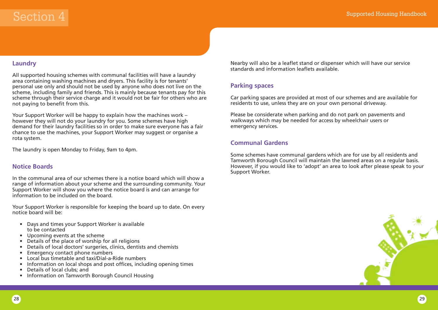### **Laundry**

All supported housing schemes with communal facilities will have a laundry area containing washing machines and dryers. This facility is for tenants' personal use only and should not be used by anyone who does not live on the scheme, including family and friends. This is mainly because tenants pay for this scheme through their service charge and it would not be fair for others who are not paying to benefit from this.

Your Support Worker will be happy to explain how the machines work – however they will not do your laundry for you. Some schemes have high demand for their laundry facilities so in order to make sure everyone has a fair chance to use the machines, your Support Worker may suggest or organise a rota system.

The laundry is open Monday to Friday, 9am to 4pm.

### **Notice Boards**

In the communal area of our schemes there is a notice board which will show a range of information about your scheme and the surrounding community. Your Support Worker will show you where the notice board is and can arrange for information to be included on the board.

Your Support Worker is responsible for keeping the board up to date. On every notice board will be:

- Days and times your Support Worker is available to be contacted
- Upcoming events at the scheme
- Details of the place of worship for all religions
- Details of local doctors' surgeries, clinics, dentists and chemists
- Emergency contact phone numbers
- Local bus timetable and taxi/Dial-a-Ride numbers
- Information on local shops and post offices, including opening times
- Details of local clubs; and
- Information on Tamworth Borough Council Housing

Nearby will also be a leaflet stand or dispenser which will have our service standards and information leaflets available.

### **Parking spaces**

Car parking spaces are provided at most of our schemes and are available for residents to use, unless they are on your own personal driveway.

Please be considerate when parking and do not park on pavements and walkways which may be needed for access by wheelchair users or emergency services.

### **Communal Gardens**

Some schemes have communal gardens which are for use by all residents and Tamworth Borough Council will maintain the lawned areas on a regular basis. However, if you would like to 'adopt' an area to look after please speak to your Support Worker.

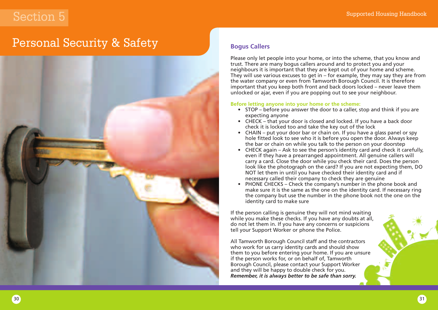### Personal Security & Safety



### **Bogus Callers**

Please only let people into your home, or into the scheme, that you know and trust. There are many bogus callers around and to protect you and your neighbours it is important that they are kept out of your home and scheme. They will use various excuses to get in – for example, they may say they are from the water company or even from Tamworth Borough Council. It is therefore important that you keep both front and back doors locked – never leave them unlocked or ajar, even if you are popping out to see your neighbour.

### **Before letting anyone into your home or the scheme:**

- STOP before you answer the door to a caller, stop and think if you are expecting anyone
- CHECK that your door is closed and locked. If you have a back door check it is locked too and take the key out of the lock
- CHAIN put your door bar or chain on. If you have a glass panel or spy hole fitted look to see who it is before you open the door. Always keep the bar or chain on while you talk to the person on your doorstep
- CHECK again Ask to see the person's identity card and check it carefully, even if they have a prearranged appointment. All genuine callers will carry a card. Close the door while you check their card. Does the person look like the photograph on the card? If you are not expecting them, DO NOT let them in until you have checked their identity card and if necessary called their company to check they are genuine
- PHONE CHECKS Check the company's number in the phone book and make sure it is the same as the one on the identity card. If necessary ring the company but use the number in the phone book not the one on the identity card to make sure

If the person calling is genuine they will not mind waiting while you make these checks. If you have any doubts at all, do not let them in. If you have any concerns or suspicions tell your Support Worker or phone the Police.

All Tamworth Borough Council staff and the contractors who work for us carry identity cards and should show them to you before entering your home. If you are unsure if the person works for, or on behalf of, Tamworth Borough Council, please contact your Support Worker and they will be happy to double check for you. *Remember, it is always better to be safe than sorry.*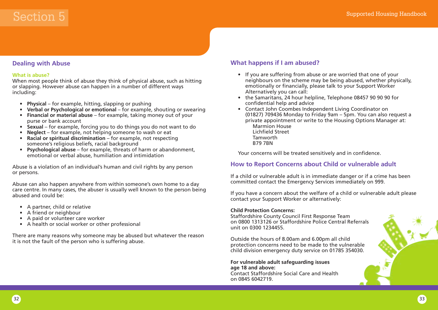### **Dealing with Abuse**

#### **What is abuse?**

When most people think of abuse they think of physical abuse, such as hitting or slapping. However abuse can happen in a number of different ways including:

- **Physical** for example, hitting, slapping or pushing
- **Verbal or Psychological or emotional** for example, shouting or swearing
- **Financial or material abuse** for example, taking money out of your purse or bank account
- **Sexual** for example, forcing you to do things you do not want to do
- **Neglect** for example, not helping someone to wash or eat
- **Racial or spiritual discrimination** for example, not respecting someone's religious beliefs, racial background
- **Psychological abuse** for example, threats of harm or abandonment, emotional or verbal abuse, humiliation and intimidation

Abuse is a violation of an individual's human and civil rights by any person or persons.

Abuse can also happen anywhere from within someone's own home to a day care centre. In many cases, the abuser is usually well known to the person being abused and could be:

- A partner, child or relative
- A friend or neighbour
- A paid or volunteer care worker
- A health or social worker or other professional

There are many reasons why someone may be abused but whatever the reason it is not the fault of the person who is suffering abuse.

### **What happens if I am abused?**

- If you are suffering from abuse or are worried that one of your neighbours on the scheme may be being abused, whether physically, emotionally or financially, please talk to your Support Worker Alternatively you can call:
- the Samaritans, 24 hour helpline, Telephone 08457 90 90 90 for confidential help and advice
- Contact John Coombes Independent Living Coordinator on (01827) 709436 Monday to Friday 9am – 5pm. You can also request a private appointment or write to the Housing Options Manager at: Marmion House
	- Lichfield Street Tamworth B79 7BN

Your concerns will be treated sensitively and in confidence.

### **How to Report Concerns about Child or vulnerable adult**

If a child or vulnerable adult is in immediate danger or if a crime has been committed contact the Emergency Services immediately on 999.

If you have a concern about the welfare of a child or vulnerable adult please contact your Support Worker or alternatively:

### **Child Protection Concerns:**

Staffordshire County Council First Response Team on 0800 1313126 or Staffordshire Police Central Referrals unit on 0300 1234455.

Outside the hours of 8.00am and 6.00pm all child protection concerns need to be made to the vulnerable child division emergency duty service on 01785 354030.

**For vulnerable adult safeguarding issues age 18 and above:** Contact Staffordshire Social Care and Health on 0845 6042719.

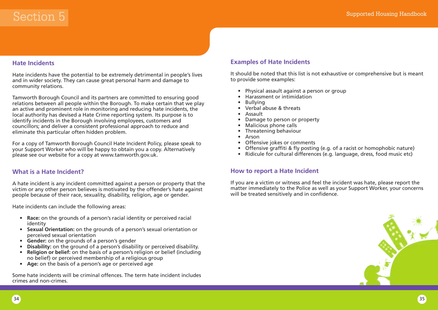### **Hate Incidents**

Hate incidents have the potential to be extremely detrimental in people's lives and in wider society. They can cause great personal harm and damage to community relations.

Tamworth Borough Council and its partners are committed to ensuring good relations between all people within the Borough. To make certain that we play an active and prominent role in monitoring and reducing hate incidents, the local authority has devised a Hate Crime reporting system. Its purpose is to identify incidents in the Borough involving employees, customers and councillors; and deliver a consistent professional approach to reduce and eliminate this particular often hidden problem.

For a copy of Tamworth Borough Council Hate Incident Policy, please speak to your Support Worker who will be happy to obtain you a copy. Alternatively please see our website for a copy at www.tamworth.gov.uk.

### **What is a Hate Incident?**

A hate incident is any incident committed against a person or property that the victim or any other person believes is motivated by the offender's hate against people because of their race, sexuality, disability, religion, age or gender.

Hate incidents can include the following areas:

- **Race:** on the grounds of a person's racial identity or perceived racial identity
- **Sexual Orientation:** on the grounds of a person's sexual orientation or perceived sexual orientation
- **Gender:** on the grounds of a person's gender
- **Disability:** on the ground of a person's disability or perceived disability.
- **Religion or belief:** on the basis of a person's religion or belief (including no belief) or perceived membership of a religious group
- **Age:** on the basis of a person's age or perceived age

Some hate incidents will be criminal offences. The term hate incident includes crimes and non-crimes.

### **Examples of Hate Incidents**

It should be noted that this list is not exhaustive or comprehensive but is meant to provide some examples:

- Physical assault against a person or group
- Harassment or intimidation
- Bullying
- Verbal abuse & threats
- Assault
- Damage to person or property
- Malicious phone calls
- Threatening behaviour
- Arson
- Offensive jokes or comments
- Offensive graffiti & fly posting (e.g. of a racist or homophobic nature)
- Ridicule for cultural differences (e.g. language, dress, food music etc)

### **How to report a Hate Incident**

If you are a victim or witness and feel the incident was hate, please report the matter immediately to the Police as well as your Support Worker, your concerns will be treated sensitively and in confidence.

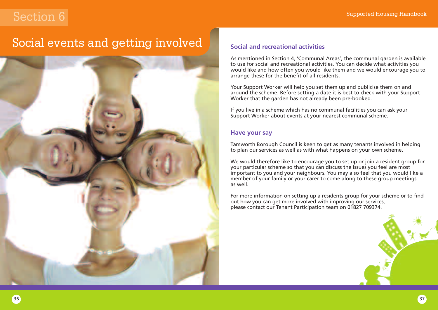### Social events and getting involved



### **Social and recreational activities**

As mentioned in Section 4, 'Communal Areas', the communal garden is available to use for social and recreational activities. You can decide what activities you would like and how often you would like them and we would encourage you to arrange these for the benefit of all residents.

Your Support Worker will help you set them up and publicise them on and around the scheme. Before setting a date it is best to check with your Support Worker that the garden has not already been pre-booked.

If you live in a scheme which has no communal facilities you can ask your Support Worker about events at your nearest communal scheme.

### **Have your say**

Tamworth Borough Council is keen to get as many tenants involved in helping to plan our services as well as with what happens on your own scheme.

We would therefore like to encourage you to set up or join a resident group for your particular scheme so that you can discuss the issues you feel are most important to you and your neighbours. You may also feel that you would like a member of your family or your carer to come along to these group meetings as well.

For more information on setting up a residents group for your scheme or to find out how you can get more involved with improving our services, please contact our Tenant Participation team on 01827 709374.

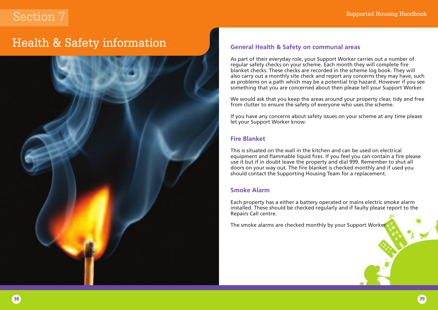### Health & Safety information



### **General Health & Safety on communal areas**

As part of their everyday role, your Support Worker carries out a number of regular safety checks on your scheme. Each month they will complete fire blanket checks. These checks are recorded in the scheme log book. They will also carry out a monthly site check and report any concerns they may have, such as problems on a path which may be a potential trip hazard. However if you see something that you are concerned about then please tell your Support Worker.

We would ask that you keep the areas around your property clear, tidy and free from clutter to ensure the safety of everyone who uses the scheme.

If you have any concerns about safety issues on your scheme at any time please let your Support Worker know.

### **Fire Blanket**

This is situated on the wall in the kitchen and can be used on electrical equipment and flammable liquid fires. If you feel you can contain a fire please use it but if in doubt leave the property and dial 999. Remember to shut all doors on your way out. The fire blanket is checked monthly and if used you should contact the Supporting Housing Team for a replacement.

### **Smoke Alarm**

Each property has a either a battery operated or mains electric smoke alarm installed. These should be checked regularly and if faulty please report to the Repairs Call centre.

The smoke alarms are checked monthly by your Support Worker.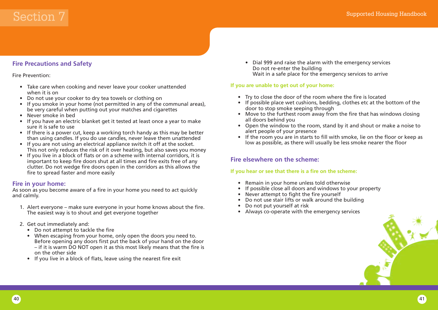### **Fire Precautions and Safety**

### Fire Prevention:

- Take care when cooking and never leave your cooker unattended when it is on
- Do not use your cooker to dry tea towels or clothing on
- If you smoke in your home (not permitted in any of the communal areas), be very careful when putting out your matches and cigarettes
- Never smoke in bed
- If you have an electric blanket get it tested at least once a year to make sure it is safe to use
- If there is a power cut, keep a working torch handy as this may be better than using candles. If you do use candles, never leave them unattended
- If you are not using an electrical appliance switch it off at the socket. This not only reduces the risk of it over heating, but also saves you money
- If you live in a block of flats or on a scheme with internal corridors, it is important to keep fire doors shut at all times and fire exits free of any clutter. Do not wedge fire doors open in the corridors as this allows the fire to spread faster and more easily

### **Fire in your home:**

As soon as you become aware of a fire in your home you need to act quickly and calmly.

- 1. Alert everyone make sure everyone in your home knows about the fire. The easiest way is to shout and get everyone together
- 2. Get out immediately and:
	- Do not attempt to tackle the fire
	- When escaping from your home, only open the doors you need to. Before opening any doors first put the back of your hand on the door – if it is warm DO NOT open it as this most likely means that the fire is on the other side
	- If you live in a block of flats, leave using the nearest fire exit

• Dial 999 and raise the alarm with the emergency services Do not re-enter the building Wait in a safe place for the emergency services to arrive

### **If you are unable to get out of your home:**

- Try to close the door of the room where the fire is located
- If possible place wet cushions, bedding, clothes etc at the bottom of the door to stop smoke seeping through
- Move to the furthest room away from the fire that has windows closing all doors behind you
- Open the window to the room, stand by it and shout or make a noise to alert people of your presence
- If the room you are in starts to fill with smoke, lie on the floor or keep as low as possible, as there will usually be less smoke nearer the floor

### **Fire elsewhere on the scheme:**

### **If you hear or see that there is a fire on the scheme:**

- Remain in your home unless told otherwise
- If possible close all doors and windows to your property
- Never attempt to fight the fire yourself
- Do not use stair lifts or walk around the building
- Do not put yourself at risk
- Always co-operate with the emergency services

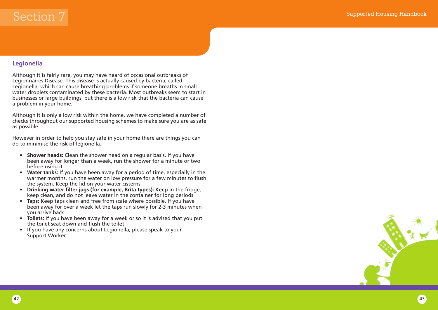### **Legionella**

Although it is fairly rare, you may have heard of occasional outbreaks of Legionnaires Disease. This disease is actually caused by bacteria, called Legionella, which can cause breathing problems if someone breaths in small water droplets contaminated by these bacteria. Most outbreaks seem to start in businesses or large buildings, but there is a low risk that the bacteria can cause a problem in your home.

Although it is only a low risk within the home, we have completed a number of checks throughout our supported housing schemes to make sure you are as safe as possible.

However in order to help you stay safe in your home there are things you can do to minimise the risk of legionella.

- **Shower heads:** Clean the shower head on a regular basis. If you have been away for longer than a week, run the shower for a minute or two before using it
- **Water tanks:** If you have been away for a period of time, especially in the warmer months, run the water on low pressure for a few minutes to flush the system. Keep the lid on your water cisterns
- **Drinking water filter jugs (for example, Brita types):** Keep in the fridge, keep clean, and do not leave water in the container for long periods
- **Taps:** Keep taps clean and free from scale where possible. If you have been away for over a week let the taps run slowly for 2-3 minutes when you arrive back
- **Toilets:** If you have been away for a week or so it is advised that you put the toilet seat down and flush the toilet
- If you have any concerns about Legionella, please speak to your Support Worker

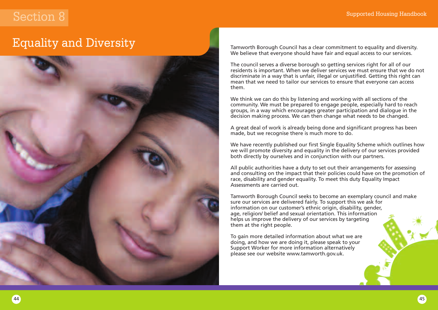### Equality and Diversity



Tamworth Borough Council has a clear commitment to equality and diversity. We believe that everyone should have fair and equal access to our services.

The council serves a diverse borough so getting services right for all of our residents is important. When we deliver services we must ensure that we do not discriminate in a way that is unfair, illegal or unjustified. Getting this right can mean that we need to tailor our services to ensure that everyone can access them.

We think we can do this by listening and working with all sections of the community. We must be prepared to engage people, especially hard to reach groups, in a way which encourages greater participation and dialogue in the decision making process. We can then change what needs to be changed.

A great deal of work is already being done and significant progress has been made, but we recognise there is much more to do.

We have recently published our first Single Equality Scheme which outlines how we will promote diversity and equality in the delivery of our services provided both directly by ourselves and in conjunction with our partners.

All public authorities have a duty to set out their arrangements for assessing and consulting on the impact that their policies could have on the promotion of race, disability and gender equality. To meet this duty Equality Impact Assessments are carried out.

Tamworth Borough Council seeks to become an exemplary council and make sure our services are delivered fairly. To support this we ask for information on our customer's ethnic origin, disability, gender, age, religion/ belief and sexual orientation. This information helps us improve the delivery of our services by targeting them at the right people.

To gain more detailed information about what we are doing, and how we are doing it, please speak to your Support Worker for more information alternatively please see our website www.tamworth.gov.uk.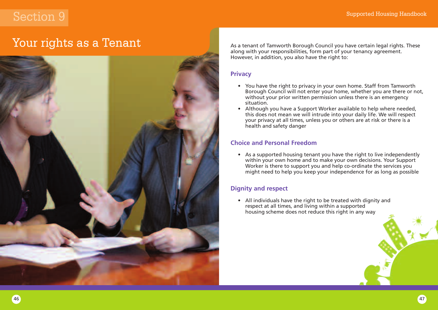### Your rights as a Tenant



As a tenant of Tamworth Borough Council you have certain legal rights. These along with your responsibilities, form part of your tenancy agreement. However, in addition, you also have the right to:

### **Privacy**

- You have the right to privacy in your own home. Staff from Tamworth Borough Council will not enter your home, whether you are there or not, without your prior written permission unless there is an emergency situation.
- Although you have a Support Worker available to help where needed, this does not mean we will intrude into your daily life. We will respect your privacy at all times, unless you or others are at risk or there is a health and safety danger

### **Choice and Personal Freedom**

• As a supported housing tenant you have the right to live independently within your own home and to make your own decisions. Your Support Worker is there to support you and help co-ordinate the services you might need to help you keep your independence for as long as possible

### **Dignity and respect**

• All individuals have the right to be treated with dignity and respect at all times, and living within a supported housing scheme does not reduce this right in any way

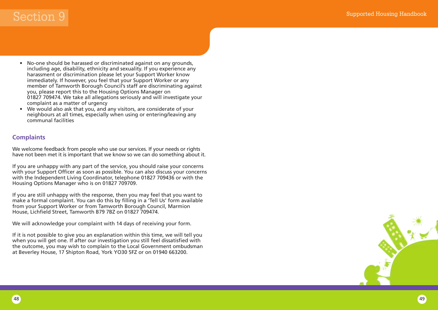- No-one should be harassed or discriminated against on any grounds, including age, disability, ethnicity and sexuality. If you experience any harassment or discrimination please let your Support Worker know immediately. If however, you feel that your Support Worker or any member of Tamworth Borough Council's staff are discriminating against you, please report this to the Housing Options Manager on 01827 709474. We take all allegations seriously and will investigate your complaint as a matter of urgency
- We would also ask that you, and any visitors, are considerate of your neighbours at all times, especially when using or entering/leaving any communal facilities

### **Complaints**

We welcome feedback from people who use our services. If your needs or rights have not been met it is important that we know so we can do something about it.

If you are unhappy with any part of the service, you should raise your concerns with your Support Officer as soon as possible. You can also discuss your concerns with the Independent Living Coordinator, telephone 01827 709436 or with the Housing Options Manager who is on 01827 709709.

If you are still unhappy with the response, then you may feel that you want to make a formal complaint. You can do this by filling in a 'Tell Us' form available from your Support Worker or from Tamworth Borough Council, Marmion House, Lichfield Street, Tamworth B79 7BZ on 01827 709474.

We will acknowledge your complaint with 14 days of receiving your form.

If it is not possible to give you an explanation within this time, we will tell you when you will get one. If after our investigation you still feel dissatisfied with the outcome, you may wish to complain to the Local Government ombudsman at Beverley House, 17 Shipton Road, York YO30 5FZ or on 01940 663200.

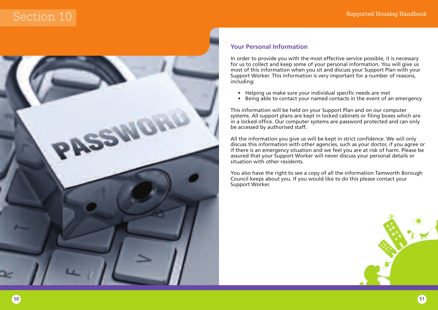

### **Your Personal Information**

In order to provide you with the most effective service possible, it is necessary for us to collect and keep some of your personal information. You will give us most of this information when you sit and discuss your Support Plan with your Support Worker. This information is very important for a number of reasons, including:

- Helping us make sure your individual specific needs are met<br>• Being able to contact your named contacts in the event of a
- Being able to contact your named contacts in the event of an emergency

This information will be held on your Support Plan and on our computer systems. All support plans are kept in locked cabinets or filing boxes which are in a locked office. Our computer systems are password protected and can only be accessed by authorised staff.

All the information you give us will be kept in strict confidence. We will only discuss this information with other agencies, such as your doctor, if you agree or if there is an emergency situation and we feel you are at risk of harm. Please be assured that your Support Worker will never discuss your personal details or situation with other residents.

You also have the right to see a copy of all the information Tamworth Borough Council keeps about you. If you would like to do this please contact your Support Worker.

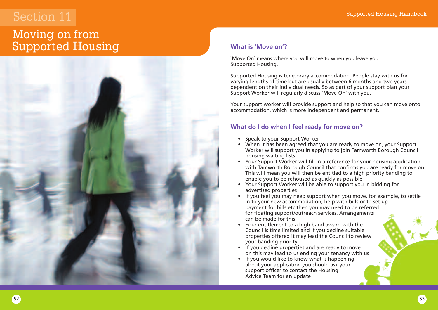### Moving on from Supported Housing



### **What is 'Move on'?**

`Move On` means where you will move to when you leave you Supported Housing.

Supported Housing is temporary accommodation. People stay with us for varying lengths of time but are usually between 6 months and two years dependent on their individual needs. So as part of your support plan your Support Worker will regularly discuss `Move On` with you.

Your support worker will provide support and help so that you can move onto accommodation, which is more independent and permanent.

### **What do I do when I feel ready for move on?**

- Speak to your Support Worker
- When it has been agreed that you are ready to move on, your Support Worker will support you in applying to join Tamworth Borough Council housing waiting lists
- Your Support Worker will fill in a reference for your housing application with Tamworth Borough Council that confirms you are ready for move on. This will mean you will then be entitled to a high priority banding to enable you to be rehoused as quickly as possible
- Your Support Worker will be able to support you in bidding for advertised properties
- If you feel you may need support when you move, for example, to settle in to your new accommodation, help with bills or to set up payment for bills etc then you may need to be referred for floating support/outreach services. Arrangements can be made for this
- Your entitlement to a high band award with the Council is time limited and if you decline suitable properties offered it may lead the Council to review your banding priority
- If you decline properties and are ready to move on this may lead to us ending your tenancy with us
- If you would like to know what is happening about your application you should ask your support officer to contact the Housing Advice Team for an update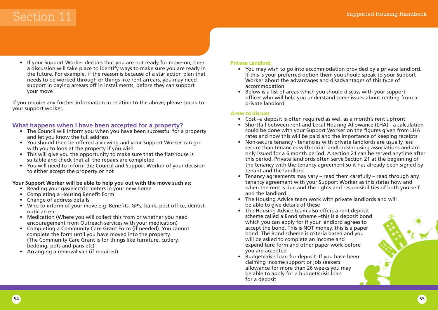• If your Support Worker decides that you are not ready for move-on, then a discussion will take place to identify ways to make sure you are ready in the future. For example, if the reason is because of a star action plan that needs to be worked through or things like rent arrears, you may need support in paying arrears off in installments, before they can support your move

If you require any further information in relation to the above, please speak to your support worker.

### **What happens when I have been accepted for a property?**

- The Council will inform you when you have been successful for a property and let you know the full address
- You should then be offered a viewing and your Support Worker can go with you to look at the property if you wish
- This will give you the opportunity to make sure that the flat/house is suitable and check that all the repairs are completed
- You will need to inform the Council and Support Worker of your decision to either accept the property or not

### **Your Support Worker will be able to help you out with the move such as;**

- Reading your gas/electric meters in your new home
- Completing a Housing Benefit Form
- Change of address details
- Who to inform of your move e.g. Benefits, GP's, bank, post office, dentist, optician etc.
- Medication (Where you will collect this from or whether you need encouragement from Outreach services with your medication)
- Completing a Community Care Grant Form (if needed). You cannot complete the form until you have moved into the property. (The Community Care Grant is for things like furniture, cutlery, bedding, pots and pans etc)
- Arranging a removal van (if required)

### **Private Landlord**

- You may wish to go into accommodation provided by a private landlord. If this is your preferred option them you should speak to your Support Worker about the advantages and disadvantages of this type of accommodation
- Below is a list of areas which you should discuss with your support officer who will help you understand some issues about renting from a private landlord

### **Areas to discuss**

- Cost –a deposit is often required as well as a month's rent upfront
- Shortfall between rent and Local Housing Allowance (LHA) a calculation could be done with your Support Worker on the figures given from LHA rates and how this will be paid and the importance of keeping receipts
- Non-secure tenancy tenancies with private landlords are usually less secure than tenancies with social landlords/housing associations and are only issued for a 6 month period. A section 21 can be served anytime after this period. Private landlords often serve Section 21 at the beginning of the tenancy with the tenancy agreement so it has already been signed by tenant and the landlord
- Tenancy agreements may vary read them carefully read through any tenancy agreement with your Support Worker as this states how and when the rent is due and the rights and responsibilities of both yourself and the landlord
- The Housing Advice team work with private landlords and will be able to give details of these
- The Housing Advice team also offers a rent deposit scheme called a Bond scheme –this is a deposit bond which you can apply for if your landlord agrees to accept the bond. This is NOT money, this is a paper bond. The Bond scheme is criteria based and you will be asked to complete an income and expenditure form and other paper work before you are accepted
- Budget/crisis loan for deposit. If you have been claiming income support or job seekers allowance for more than 26 weeks you may be able to apply for a budget/crisis loan for a deposit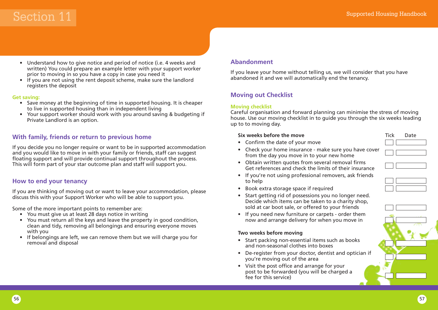- Understand how to give notice and period of notice (i.e. 4 weeks and written) You could prepare an example letter with your support worker prior to moving in so you have a copy in case you need it
- If you are not using the rent deposit scheme, make sure the landlord registers the deposit

### **Get saving:**

- Save money at the beginning of time in supported housing. It is cheaper to live in supported housing than in independent living
- Your support worker should work with you around saving & budgeting if Private Landlord is an option.

### **With family, friends or return to previous home**

If you decide you no longer require or want to be in supported accommodation and you would like to move in with your family or friends, staff can suggest floating support and will provide continual support throughout the process. This will form part of your star outcome plan and staff will support you.

### **How to end your tenancy**

If you are thinking of moving out or want to leave your accommodation, please discuss this with your Support Worker who will be able to support you.

Some of the more important points to remember are:

- You must give us at least 28 days notice in writing
- You must return all the keys and leave the property in good condition, clean and tidy, removing all belongings and ensuring everyone moves with you
- If belongings are left, we can remove them but we will charge you for removal and disposal

### **Abandonment**

If you leave your home without telling us, we will consider that you have abandoned it and we will automatically end the tenancy.

### **Moving out Checklist**

### **Moving checklist**

Careful organisation and forward planning can minimise the stress of moving house. Use our moving checklist in to guide you through the six weeks leading up to to moving day.

### **Six** weeks before the move

- Confirm the date of your move
- Check your home insurance make sure you have cover from the day you move in to your new home
	-
- Obtain written quotes from several removal firms Get references and check the limits of their insurance
- If you're not using professional removers, ask friends to help
- Book extra storage space if required
- Start getting rid of possessions you no longer need. Decide which items can be taken to a charity shop, sold at car boot sale, or offered to your friends
- If you need new furniture or carpets order them now and arrange delivery for when you move in

### **Two weeks before moving**

- Start packing non-essential items such as books and non-seasonal clothes into boxes
- De-register from your doctor, dentist and optician if you're moving out of the area
- Visit the post office and arrange for your post to be forwarded (you will be charged a fee for this service)

| ate |
|-----|
|     |
|     |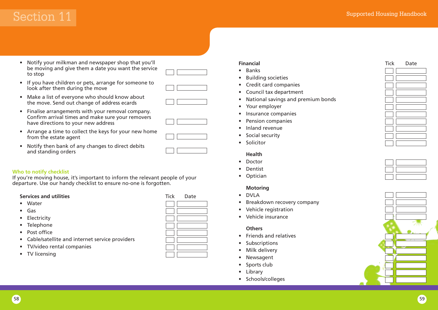- Notify your milkman and newspaper shop that you'll be moving and give them a date you want the service to stop
- If you have children or pets, arrange for someone to look after them during the move
- 
- Make a list of everyone who should know about the move. Send out change of address ecards
- Finalise arrangements with your removal company. Confirm arrival times and make sure your removers have directions to your new address
- Arrange a time to collect the keys for your new home from the estate agent
- Notify then bank of any changes to direct debits and standing orders

### **Who to notify checklist**

If you're moving house, it's important to inform the relevant people of your departure. Use our handy checklist to ensure no-one is forgotten.

### **Services and utilities** Tick Date

- Water
- Gas
- Electricity
- Telephone
- Post office
- Cable/satellite and internet service providers
- TV/video rental companies
- TV licensing



- Banks
- Building societies
- Credit card companies
- Council tax department
- National savings and premium bonds
- Your employer
- Insurance companies
- Pension companies
- Inland revenue
- Social security
- Solicitor

### **Health**

- Doctor
- Dentist
- Optician

### **Motoring**

- DVLA
- Breakdown recovery company
- Vehicle registration
- Vehicle insurance

#### **Others**

- Friends and relatives
- **Subscriptions**
- Milk delivery
- Newsagent
- Sports club
- Library
- Schools/colleges



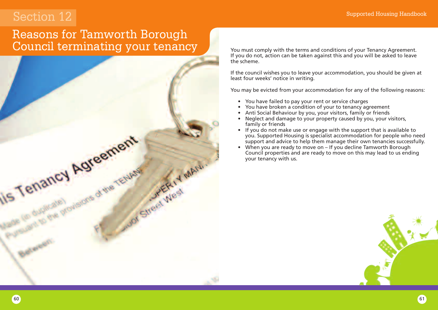### Reasons for Tamworth Borough Council terminating your tenancy



You must comply with the terms and conditions of your Tenancy Agreement. If you do not, action can be taken against this and you will be asked to leave the scheme.

If the council wishes you to leave your accommodation, you should be given at least four weeks' notice in writing.

You may be evicted from your accommodation for any of the following reasons:

- You have failed to pay your rent or service charges
- You have broken a condition of your to tenancy agreement
- Anti Social Behaviour by you, your visitors, family or friends
- Neglect and damage to your property caused by you, your visitors, family or friends
- If you do not make use or engage with the support that is available to you. Supported Housing is specialist accommodation for people who need support and advice to help them manage their own tenancies successfully.
- When you are ready to move on If you decline Tamworth Borough Council properties and are ready to move on this may lead to us ending your tenancy with us.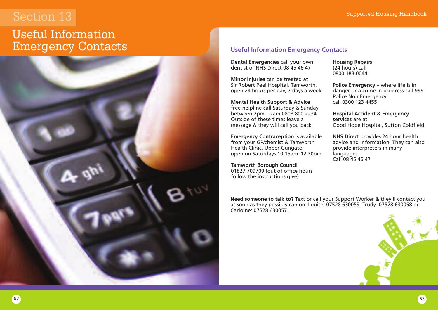### Useful Information Emergency Contacts



### **Useful Information Emergency Contacts**

**Dental Emergencies** call your own dentist or NHS Direct 08 45 46 47

**Minor Injuries** can be treated at Sir Robert Peel Hospital, Tamworth, open 24 hours per day, 7 days a week

**Mental Health Support & Advice** free helpline call Saturday & Sunday between 2pm – 2am 0808 800 2234 Outside of these times leave a message & they will call you back

**Emergency Contraception** is available from your GP/chemist & Tamworth Health Clinic, Upper Gungate open on Saturdays 10.15am–12.30pm

**Tamworth Borough Council** 01827 709709 (out of office hours follow the instructions give)

**Housing Repairs** (24 hours) call 0800 183 0044

**Police Emergency** – where life is in danger or a crime in progress call 999 Police Non Emergency call 0300 123 4455

**Hospital Accident & Emergency services** are at Good Hope Hospital, Sutton Coldfield

**NHS Direct** provides 24 hour health advice and information. They can also provide interpreters in many languages. Call 08 45 46 47

**Need someone to talk to?** Text or call your Support Worker & they'll contact you as soon as they possibly can on: Louise: 07528 630059, Trudy: 07528 630058 or Carloine: 07528 630057.

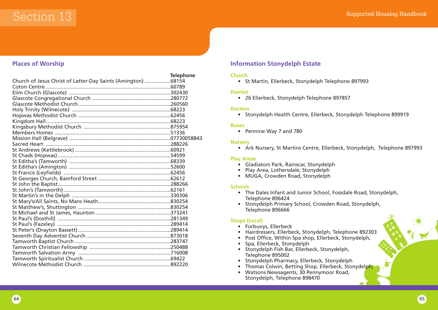

### **Places of Worship**

|                                                              | <b>Telephone</b> |
|--------------------------------------------------------------|------------------|
| Church of Jesus Christ of Latter-Day Saints (Amington) 68154 |                  |
|                                                              |                  |
|                                                              |                  |
|                                                              |                  |
|                                                              |                  |
|                                                              |                  |
|                                                              |                  |
|                                                              |                  |
|                                                              |                  |
|                                                              |                  |
|                                                              |                  |
|                                                              |                  |
|                                                              |                  |
|                                                              |                  |
|                                                              |                  |
|                                                              |                  |
|                                                              |                  |
|                                                              |                  |
|                                                              |                  |
|                                                              |                  |
|                                                              |                  |
|                                                              |                  |
|                                                              |                  |
|                                                              |                  |
|                                                              |                  |
|                                                              |                  |
|                                                              |                  |
|                                                              |                  |
|                                                              |                  |
|                                                              |                  |
|                                                              |                  |
|                                                              |                  |
|                                                              |                  |

### **Information Stonydelph Estate**

### **Church**

• St Martin, Ellerbeck, Stonydelph Telephone 897993

#### **Dentist**

• 26 Ellerbeck, Stonydelph Telephone 897857

#### **Doctors**

• Stonydelph Health Centre, Ellerbeck, Stonydelph Telephone 899919

#### **Buses**

• Pennine Way 7 and 780

#### **Nursery**

• Ark Nursery, St Martins Centre, Ellerbeck, Stonydelph, Telephone 897993

#### **Play Areas**

- Gladiators Park, Rainscar, Stonydelph
- Play Area, Lothersdale, Stonydelph
- MUGA, Crowden Road, Stonydelph

#### **Schools**

- The Dales Infant and Junior School, Fossdale Road, Stonydelph, Telephone 896424
- Stonydelph Primary School, Crowden Road, Stonydelph, Telephone 896666

### **Shops (Local)**

- Forbuoys, Ellerbeck
- Hairdressers, Ellerbeck, Stonydelph, Telephone 892303
- Post Office, Within Spa shop, Ellerbeck, Stonydelph,
- Spa, Ellerbeck, Stonydelph
- Stonydelph Fish Bar, Ellerbeck, Stonydelph, Telephone 895002
- Stonydelph Pharmacy, Ellerbeck, Stonydelph
- Thomas Colwin, Betting Shop, Ellerbeck, Stonydelph,
- Watsons Newsagents, 30 Pennymoor Road, Stonydelph, Telephone 898470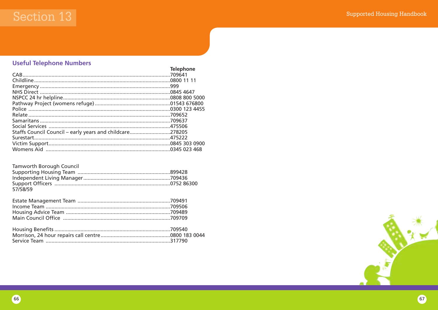### **Useful Telephone Numbers**

|                                                          | Telephone |
|----------------------------------------------------------|-----------|
|                                                          |           |
|                                                          |           |
|                                                          |           |
|                                                          |           |
|                                                          |           |
|                                                          |           |
|                                                          |           |
| Relate …………………………………………………………………………………………709652          |           |
|                                                          |           |
|                                                          |           |
| Staffs Council Council - early years and childcare278205 |           |
|                                                          |           |
|                                                          |           |
|                                                          |           |